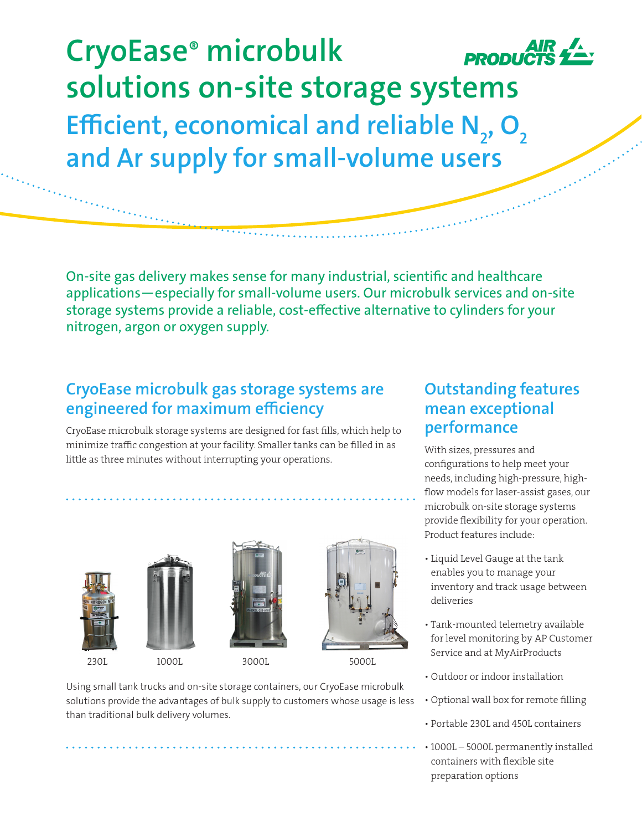**CryoEase® microbulk solutions on-site storage systems Efficient, economical and reliable N<sub>2</sub>, O<sub>2</sub> and Ar supply for small-volume users**

On-site gas delivery makes sense for many industrial, scientific and healthcare applications—especially for small-volume users. Our microbulk services and on-site storage systems provide a reliable, cost-effective alternative to cylinders for your nitrogen, argon or oxygen supply.

## **CryoEase microbulk gas storage systems are engineered for maximum efficiency**

CryoEase microbulk storage systems are designed for fast fills, which help to minimize traffic congestion at your facility. Smaller tanks can be filled in as little as three minutes without interrupting your operations.







230L 1000L 3000L 5000L



Using small tank trucks and on-site storage containers, our CryoEase microbulk solutions provide the advantages of bulk supply to customers whose usage is less than traditional bulk delivery volumes.

## **Outstanding features mean exceptional performance**

With sizes, pressures and configurations to help meet your needs, including high-pressure, highflow models for laser-assist gases, our microbulk on-site storage systems provide flexibility for your operation. Product features include:

- Liquid Level Gauge at the tank enables you to manage your inventory and track usage between deliveries
- Tank-mounted telemetry available for level monitoring by AP Customer Service and at MyAirProducts
- Outdoor or indoor installation
- Optional wall box for remote filling
- Portable 230L and 450L containers
- 1000L 5000L permanently installed containers with flexible site preparation options